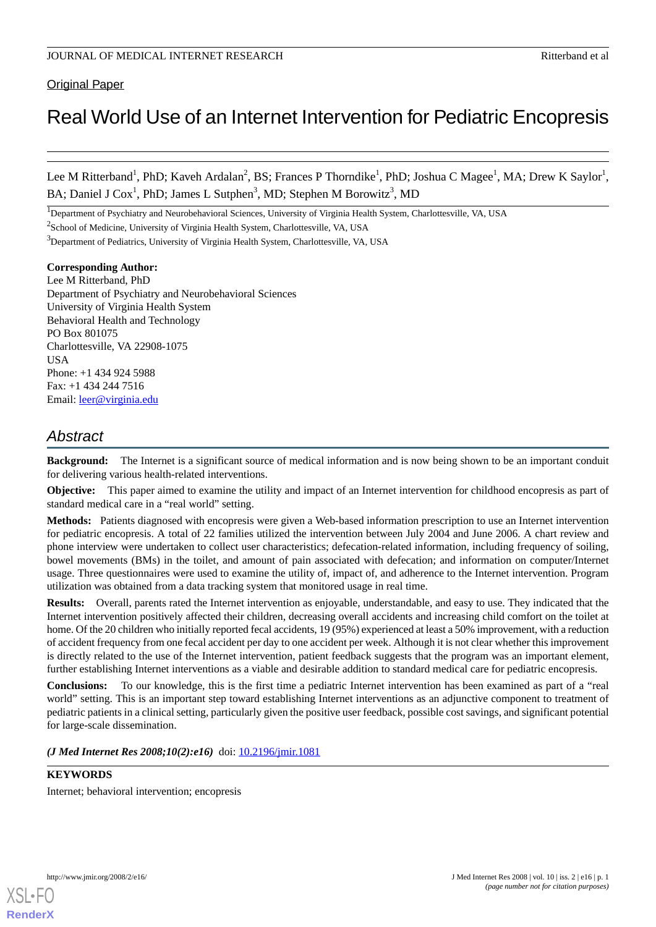# Original Paper

# Real World Use of an Internet Intervention for Pediatric Encopresis

Lee M Ritterband<sup>1</sup>, PhD; Kaveh Ardalan<sup>2</sup>, BS; Frances P Thorndike<sup>1</sup>, PhD; Joshua C Magee<sup>1</sup>, MA; Drew K Saylor<sup>1</sup>, BA; Daniel J Cox<sup>1</sup>, PhD; James L Sutphen<sup>3</sup>, MD; Stephen M Borowitz<sup>3</sup>, MD

<sup>1</sup>Department of Psychiatry and Neurobehavioral Sciences, University of Virginia Health System, Charlottesville, VA, USA

<sup>2</sup>School of Medicine, University of Virginia Health System, Charlottesville, VA, USA

<sup>3</sup>Department of Pediatrics, University of Virginia Health System, Charlottesville, VA, USA

#### **Corresponding Author:** Lee M Ritterband, PhD

Department of Psychiatry and Neurobehavioral Sciences University of Virginia Health System Behavioral Health and Technology PO Box 801075 Charlottesville, VA 22908-1075 **IISA** Phone: +1 434 924 5988 Fax: +1 434 244 7516 Email: [leer@virginia.edu](mailto:leer@virginia.edu)

# *Abstract*

**Background:** The Internet is a significant source of medical information and is now being shown to be an important conduit for delivering various health-related interventions.

**Objective:** This paper aimed to examine the utility and impact of an Internet intervention for childhood encopresis as part of standard medical care in a "real world" setting.

**Methods:** Patients diagnosed with encopresis were given a Web-based information prescription to use an Internet intervention for pediatric encopresis. A total of 22 families utilized the intervention between July 2004 and June 2006. A chart review and phone interview were undertaken to collect user characteristics; defecation-related information, including frequency of soiling, bowel movements (BMs) in the toilet, and amount of pain associated with defecation; and information on computer/Internet usage. Three questionnaires were used to examine the utility of, impact of, and adherence to the Internet intervention. Program utilization was obtained from a data tracking system that monitored usage in real time.

**Results:** Overall, parents rated the Internet intervention as enjoyable, understandable, and easy to use. They indicated that the Internet intervention positively affected their children, decreasing overall accidents and increasing child comfort on the toilet at home. Of the 20 children who initially reported fecal accidents, 19 (95%) experienced at least a 50% improvement, with a reduction of accident frequency from one fecal accident per day to one accident per week. Although it is not clear whether this improvement is directly related to the use of the Internet intervention, patient feedback suggests that the program was an important element, further establishing Internet interventions as a viable and desirable addition to standard medical care for pediatric encopresis.

**Conclusions:** To our knowledge, this is the first time a pediatric Internet intervention has been examined as part of a "real world" setting. This is an important step toward establishing Internet interventions as an adjunctive component to treatment of pediatric patients in a clinical setting, particularly given the positive user feedback, possible cost savings, and significant potential for large-scale dissemination.

(*J Med Internet Res 2008;10(2):e16*) doi: **[10.2196/jmir.1081](http://dx.doi.org/10.2196/jmir.1081)** 

# **KEYWORDS**

Internet; behavioral intervention; encopresis

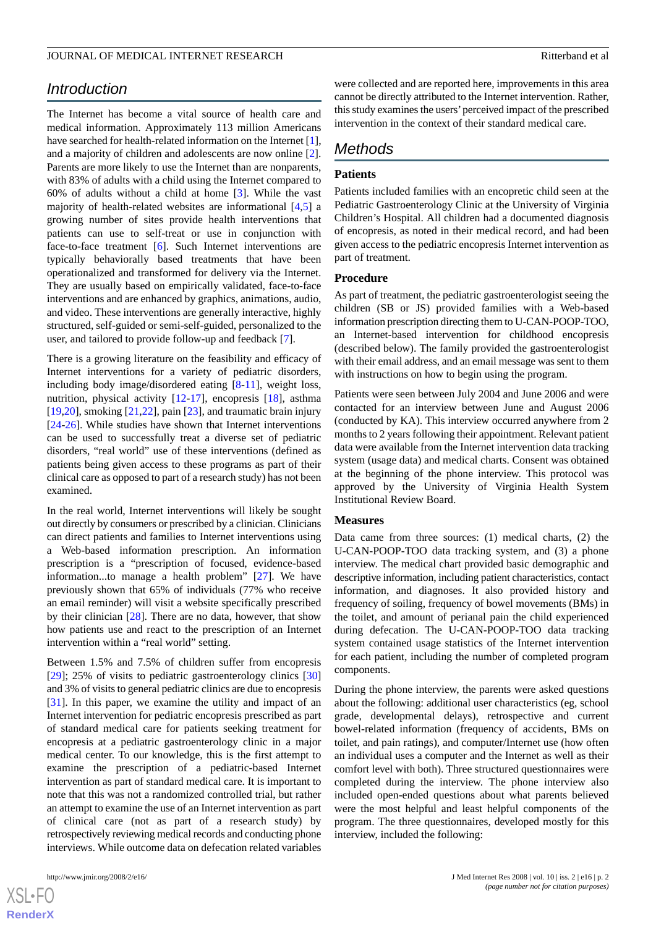# *Introduction*

The Internet has become a vital source of health care and medical information. Approximately 113 million Americans have searched for health-related information on the Internet [[1\]](#page-10-0), and a majority of children and adolescents are now online [[2\]](#page-10-1). Parents are more likely to use the Internet than are nonparents, with 83% of adults with a child using the Internet compared to 60% of adults without a child at home [\[3](#page-10-2)]. While the vast majority of health-related websites are informational [[4](#page-10-3),[5\]](#page-10-4) a growing number of sites provide health interventions that patients can use to self-treat or use in conjunction with face-to-face treatment [[6\]](#page-10-5). Such Internet interventions are typically behaviorally based treatments that have been operationalized and transformed for delivery via the Internet. They are usually based on empirically validated, face-to-face interventions and are enhanced by graphics, animations, audio, and video. These interventions are generally interactive, highly structured, self-guided or semi-self-guided, personalized to the user, and tailored to provide follow-up and feedback [[7](#page-10-6)].

There is a growing literature on the feasibility and efficacy of Internet interventions for a variety of pediatric disorders, including body image/disordered eating [[8](#page-10-7)[-11](#page-10-8)], weight loss, nutrition, physical activity [\[12](#page-10-9)-[17\]](#page-10-10), encopresis [[18\]](#page-10-11), asthma [[19](#page-11-0)[,20](#page-11-1)], smoking [\[21](#page-11-2)[,22](#page-11-3)], pain [\[23](#page-11-4)], and traumatic brain injury [[24](#page-11-5)[-26](#page-11-6)]. While studies have shown that Internet interventions can be used to successfully treat a diverse set of pediatric disorders, "real world" use of these interventions (defined as patients being given access to these programs as part of their clinical care as opposed to part of a research study) has not been examined.

In the real world, Internet interventions will likely be sought out directly by consumers or prescribed by a clinician. Clinicians can direct patients and families to Internet interventions using a Web-based information prescription. An information prescription is a "prescription of focused, evidence-based information...to manage a health problem" [\[27](#page-11-7)]. We have previously shown that 65% of individuals (77% who receive an email reminder) will visit a website specifically prescribed by their clinician [[28\]](#page-11-8). There are no data, however, that show how patients use and react to the prescription of an Internet intervention within a "real world" setting.

Between 1.5% and 7.5% of children suffer from encopresis [[29\]](#page-11-9); 25% of visits to pediatric gastroenterology clinics [\[30](#page-11-10)] and 3% of visits to general pediatric clinics are due to encopresis [[31\]](#page-11-11). In this paper, we examine the utility and impact of an Internet intervention for pediatric encopresis prescribed as part of standard medical care for patients seeking treatment for encopresis at a pediatric gastroenterology clinic in a major medical center. To our knowledge, this is the first attempt to examine the prescription of a pediatric-based Internet intervention as part of standard medical care. It is important to note that this was not a randomized controlled trial, but rather an attempt to examine the use of an Internet intervention as part of clinical care (not as part of a research study) by retrospectively reviewing medical records and conducting phone interviews. While outcome data on defecation related variables

were collected and are reported here, improvements in this area cannot be directly attributed to the Internet intervention. Rather, this study examines the users'perceived impact of the prescribed intervention in the context of their standard medical care.

# *Methods*

## **Patients**

Patients included families with an encopretic child seen at the Pediatric Gastroenterology Clinic at the University of Virginia Children's Hospital. All children had a documented diagnosis of encopresis, as noted in their medical record, and had been given access to the pediatric encopresis Internet intervention as part of treatment.

#### **Procedure**

As part of treatment, the pediatric gastroenterologist seeing the children (SB or JS) provided families with a Web-based information prescription directing them to U-CAN-POOP-TOO, an Internet-based intervention for childhood encopresis (described below). The family provided the gastroenterologist with their email address, and an email message was sent to them with instructions on how to begin using the program.

Patients were seen between July 2004 and June 2006 and were contacted for an interview between June and August 2006 (conducted by KA). This interview occurred anywhere from 2 months to 2 years following their appointment. Relevant patient data were available from the Internet intervention data tracking system (usage data) and medical charts. Consent was obtained at the beginning of the phone interview. This protocol was approved by the University of Virginia Health System Institutional Review Board.

#### **Measures**

Data came from three sources: (1) medical charts, (2) the U-CAN-POOP-TOO data tracking system, and (3) a phone interview. The medical chart provided basic demographic and descriptive information, including patient characteristics, contact information, and diagnoses. It also provided history and frequency of soiling, frequency of bowel movements (BMs) in the toilet, and amount of perianal pain the child experienced during defecation. The U-CAN-POOP-TOO data tracking system contained usage statistics of the Internet intervention for each patient, including the number of completed program components.

During the phone interview, the parents were asked questions about the following: additional user characteristics (eg, school grade, developmental delays), retrospective and current bowel-related information (frequency of accidents, BMs on toilet, and pain ratings), and computer/Internet use (how often an individual uses a computer and the Internet as well as their comfort level with both). Three structured questionnaires were completed during the interview. The phone interview also included open-ended questions about what parents believed were the most helpful and least helpful components of the program. The three questionnaires, developed mostly for this interview, included the following:

 $XSI - F($ **[RenderX](http://www.renderx.com/)**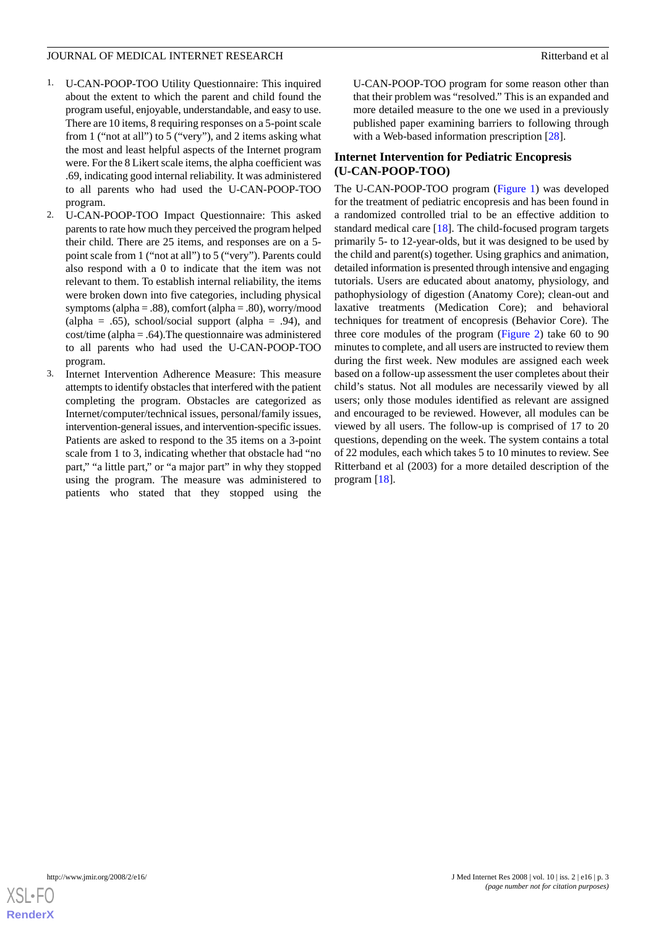- 1. U-CAN-POOP-TOO Utility Questionnaire: This inquired about the extent to which the parent and child found the program useful, enjoyable, understandable, and easy to use. There are 10 items, 8 requiring responses on a 5-point scale from 1 ("not at all") to 5 ("very"), and 2 items asking what the most and least helpful aspects of the Internet program were. For the 8 Likert scale items, the alpha coefficient was .69, indicating good internal reliability. It was administered to all parents who had used the U-CAN-POOP-TOO program.
- 2. U-CAN-POOP-TOO Impact Questionnaire: This asked parents to rate how much they perceived the program helped their child. There are 25 items, and responses are on a 5 point scale from 1 ("not at all") to 5 ("very"). Parents could also respond with a 0 to indicate that the item was not relevant to them. To establish internal reliability, the items were broken down into five categories, including physical symptoms (alpha = .88), comfort (alpha = .80), worry/mood (alpha = .65), school/social support (alpha = .94), and cost/time (alpha = .64).The questionnaire was administered to all parents who had used the U-CAN-POOP-TOO program.
- 3. Internet Intervention Adherence Measure: This measure attempts to identify obstacles that interfered with the patient completing the program. Obstacles are categorized as Internet/computer/technical issues, personal/family issues, intervention-general issues, and intervention-specific issues. Patients are asked to respond to the 35 items on a 3-point scale from 1 to 3, indicating whether that obstacle had "no part," "a little part," or "a major part" in why they stopped using the program. The measure was administered to patients who stated that they stopped using the

U-CAN-POOP-TOO program for some reason other than that their problem was "resolved." This is an expanded and more detailed measure to the one we used in a previously published paper examining barriers to following through with a Web-based information prescription [[28\]](#page-11-8).

# **Internet Intervention for Pediatric Encopresis (U-CAN-POOP-TOO)**

The U-CAN-POOP-TOO program [\(Figure 1](#page-3-0)) was developed for the treatment of pediatric encopresis and has been found in a randomized controlled trial to be an effective addition to standard medical care [[18\]](#page-10-11). The child-focused program targets primarily 5- to 12-year-olds, but it was designed to be used by the child and parent(s) together. Using graphics and animation, detailed information is presented through intensive and engaging tutorials. Users are educated about anatomy, physiology, and pathophysiology of digestion (Anatomy Core); clean-out and laxative treatments (Medication Core); and behavioral techniques for treatment of encopresis (Behavior Core). The three core modules of the program [\(Figure 2\)](#page-4-0) take 60 to 90 minutes to complete, and all users are instructed to review them during the first week. New modules are assigned each week based on a follow-up assessment the user completes about their child's status. Not all modules are necessarily viewed by all users; only those modules identified as relevant are assigned and encouraged to be reviewed. However, all modules can be viewed by all users. The follow-up is comprised of 17 to 20 questions, depending on the week. The system contains a total of 22 modules, each which takes 5 to 10 minutes to review. See Ritterband et al (2003) for a more detailed description of the program [\[18](#page-10-11)].

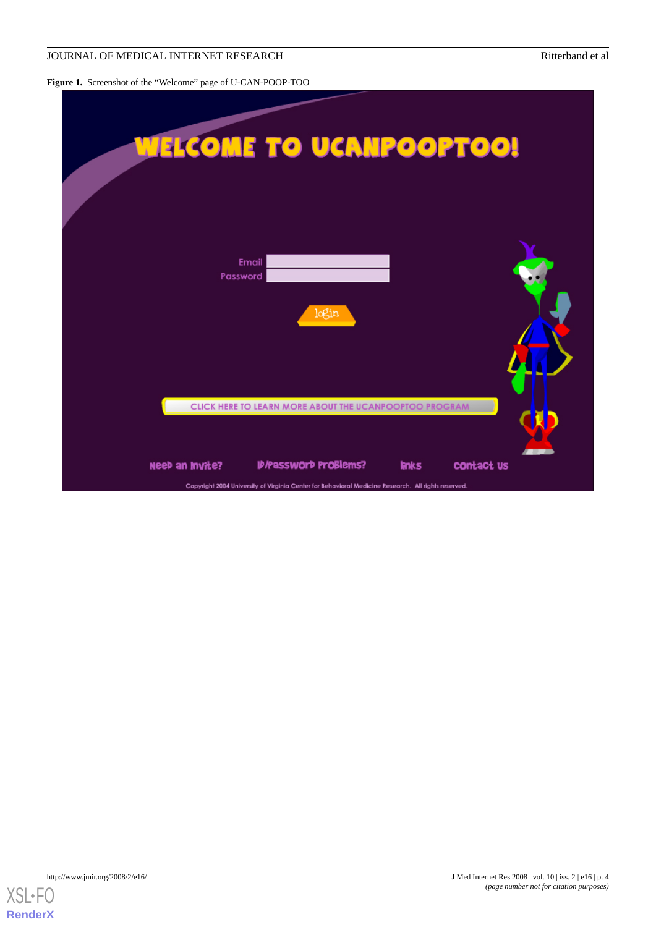#### JOURNAL OF MEDICAL INTERNET RESEARCH RITTERS AND RITTER RESEARCH RITTERS AND RITTER RESEARCH

<span id="page-3-0"></span>**Figure 1.** Screenshot of the "Welcome" page of U-CAN-POOP-TOO

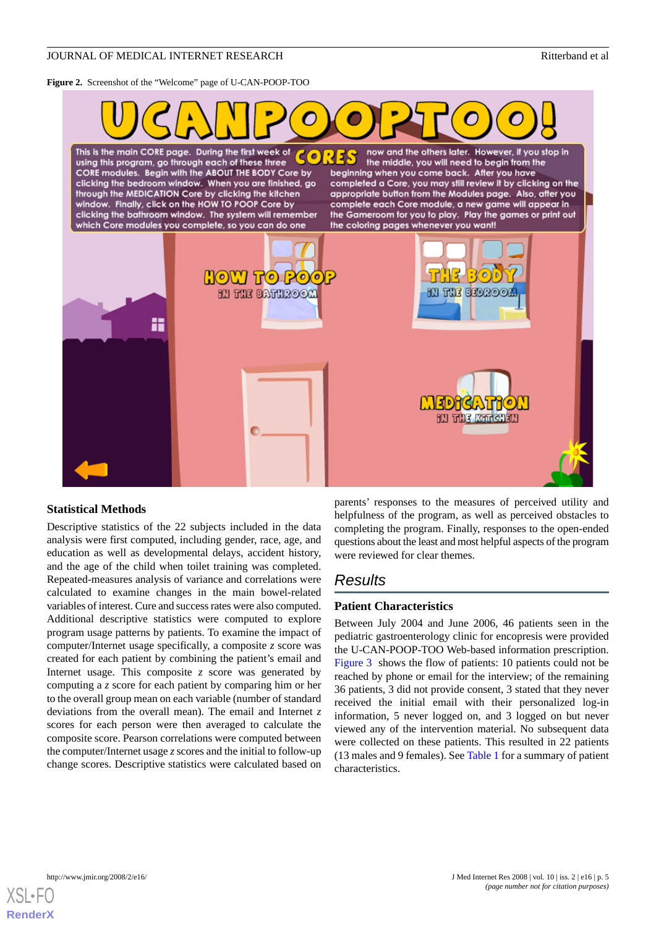#### <span id="page-4-0"></span>**Figure 2.** Screenshot of the "Welcome" page of U-CAN-POOP-TOO



#### **Statistical Methods**

Descriptive statistics of the 22 subjects included in the data analysis were first computed, including gender, race, age, and education as well as developmental delays, accident history, and the age of the child when toilet training was completed. Repeated-measures analysis of variance and correlations were calculated to examine changes in the main bowel-related variables of interest. Cure and success rates were also computed. Additional descriptive statistics were computed to explore program usage patterns by patients. To examine the impact of computer/Internet usage specifically, a composite *z* score was created for each patient by combining the patient's email and Internet usage. This composite *z* score was generated by computing a *z* score for each patient by comparing him or her to the overall group mean on each variable (number of standard deviations from the overall mean). The email and Internet *z* scores for each person were then averaged to calculate the composite score. Pearson correlations were computed between the computer/Internet usage *z* scores and the initial to follow-up change scores. Descriptive statistics were calculated based on

parents' responses to the measures of perceived utility and helpfulness of the program, as well as perceived obstacles to completing the program. Finally, responses to the open-ended questions about the least and most helpful aspects of the program were reviewed for clear themes.

# *Results*

#### **Patient Characteristics**

Between July 2004 and June 2006, 46 patients seen in the pediatric gastroenterology clinic for encopresis were provided the U-CAN-POOP-TOO Web-based information prescription. [Figure 3](#page-5-0) shows the flow of patients: 10 patients could not be reached by phone or email for the interview; of the remaining 36 patients, 3 did not provide consent, 3 stated that they never received the initial email with their personalized log-in information, 5 never logged on, and 3 logged on but never viewed any of the intervention material. No subsequent data were collected on these patients. This resulted in 22 patients (13 males and 9 females). See [Table 1](#page-6-0) for a summary of patient characteristics.

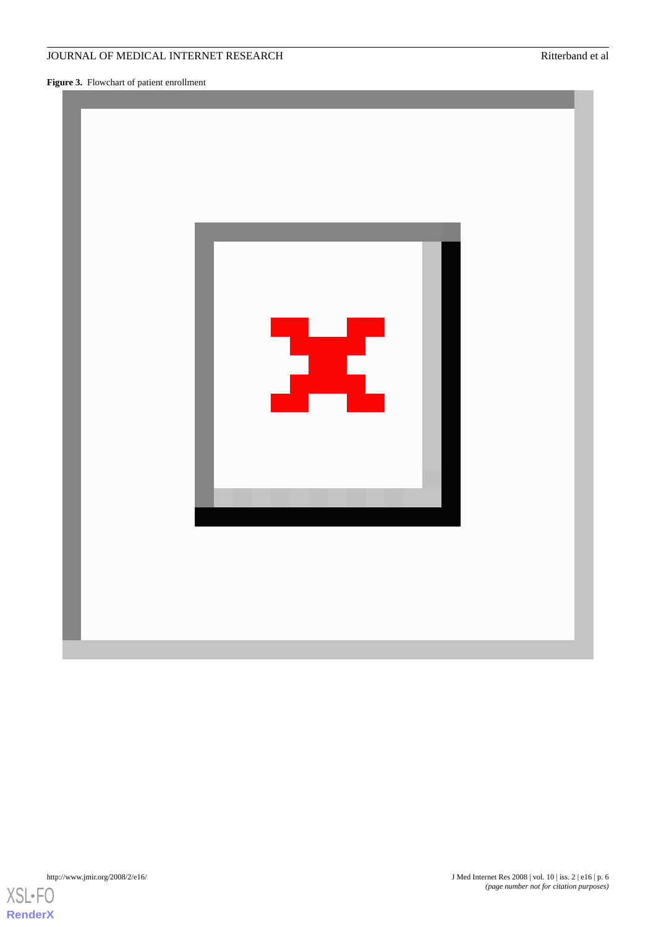<span id="page-5-0"></span>**Figure 3.** Flowchart of patient enrollment

# JOURNAL OF MEDICAL INTERNET RESEARCH RESEARCH RITTERS ENTITLED BY Ritterband et al.





[XSL](http://www.w3.org/Style/XSL)•FO **[RenderX](http://www.renderx.com/)**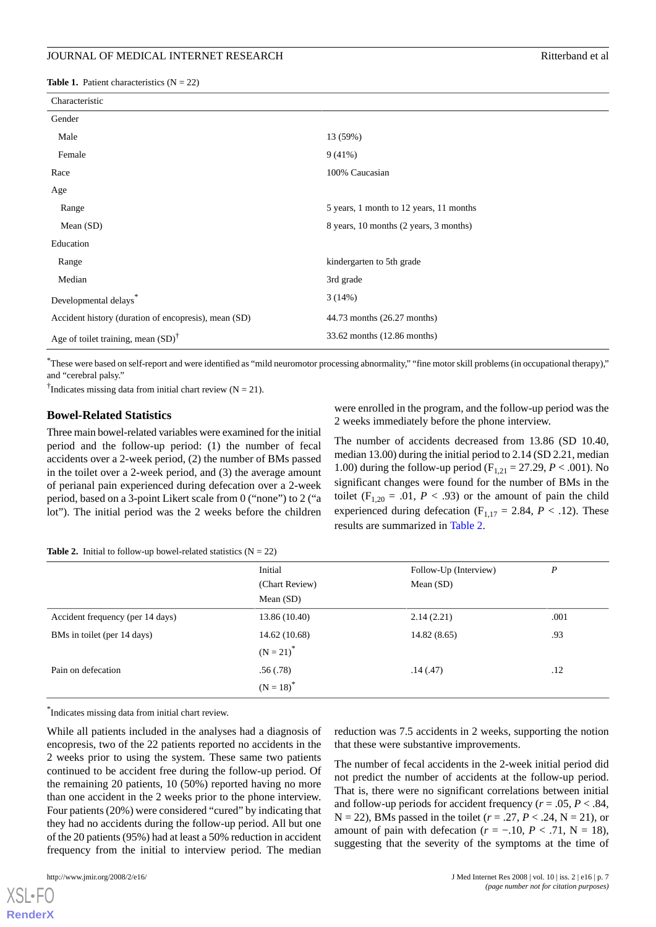<span id="page-6-0"></span>

| Characteristic                                       |                                         |
|------------------------------------------------------|-----------------------------------------|
| Gender                                               |                                         |
| Male                                                 | 13 (59%)                                |
| Female                                               | $9(41\%)$                               |
| Race                                                 | 100% Caucasian                          |
| Age                                                  |                                         |
| Range                                                | 5 years, 1 month to 12 years, 11 months |
| Mean $(SD)$                                          | 8 years, 10 months (2 years, 3 months)  |
| Education                                            |                                         |
| Range                                                | kindergarten to 5th grade               |
| Median                                               | 3rd grade                               |
| Developmental delays                                 | 3(14%)                                  |
| Accident history (duration of encopresis), mean (SD) | 44.73 months (26.27 months)             |
| Age of toilet training, mean $(SD)^{\dagger}$        | 33.62 months (12.86 months)             |

\*These were based on self-report and were identified as "mild neuromotor processing abnormality," "fine motor skill problems (in occupational therapy)," and "cerebral palsy."

<sup>†</sup>Indicates missing data from initial chart review ( $N = 21$ ).

#### **Bowel-Related Statistics**

Three main bowel-related variables were examined for the initial period and the follow-up period: (1) the number of fecal accidents over a 2-week period, (2) the number of BMs passed in the toilet over a 2-week period, and (3) the average amount of perianal pain experienced during defecation over a 2-week period, based on a 3-point Likert scale from 0 ("none") to 2 ("a lot"). The initial period was the 2 weeks before the children

were enrolled in the program, and the follow-up period was the 2 weeks immediately before the phone interview.

The number of accidents decreased from 13.86 (SD 10.40, median 13.00) during the initial period to 2.14 (SD 2.21, median 1.00) during the follow-up period ( $F_{1,21} = 27.29$ ,  $P < .001$ ). No significant changes were found for the number of BMs in the toilet ( $F_{1,20} = .01$ ,  $P < .93$ ) or the amount of pain the child experienced during defecation ( $F_{1,17} = 2.84$ ,  $P < .12$ ). These results are summarized in [Table 2](#page-6-1).

#### <span id="page-6-1"></span>**Table 2.** Initial to follow-up bowel-related statistics  $(N = 22)$

|                                  | Initial<br>(Chart Review)<br>Mean $(SD)$ | Follow-Up (Interview)<br>Mean $(SD)$ | P    |
|----------------------------------|------------------------------------------|--------------------------------------|------|
| Accident frequency (per 14 days) | 13.86 (10.40)                            | 2.14(2.21)                           | .001 |
| BMs in toilet (per 14 days)      | 14.62 (10.68)                            | 14.82(8.65)                          | .93  |
|                                  | $(N = 21)^{*}$                           |                                      |      |
| Pain on defecation               | .56(.78)                                 | .14(.47)                             | .12  |
|                                  | $(N = 18)^{*}$                           |                                      |      |

\* Indicates missing data from initial chart review.

While all patients included in the analyses had a diagnosis of encopresis, two of the 22 patients reported no accidents in the 2 weeks prior to using the system. These same two patients continued to be accident free during the follow-up period. Of the remaining 20 patients, 10 (50%) reported having no more than one accident in the 2 weeks prior to the phone interview. Four patients (20%) were considered "cured" by indicating that they had no accidents during the follow-up period. All but one of the 20 patients (95%) had at least a 50% reduction in accident frequency from the initial to interview period. The median

reduction was 7.5 accidents in 2 weeks, supporting the notion that these were substantive improvements.

The number of fecal accidents in the 2-week initial period did not predict the number of accidents at the follow-up period. That is, there were no significant correlations between initial and follow-up periods for accident frequency ( $r = .05$ ,  $P < .84$ ,  $N = 22$ ), BMs passed in the toilet ( $r = .27, P < .24, N = 21$ ), or amount of pain with defecation ( $r = -10$ ,  $P < 0.71$ , N = 18), suggesting that the severity of the symptoms at the time of

[XSL](http://www.w3.org/Style/XSL)•FO **[RenderX](http://www.renderx.com/)**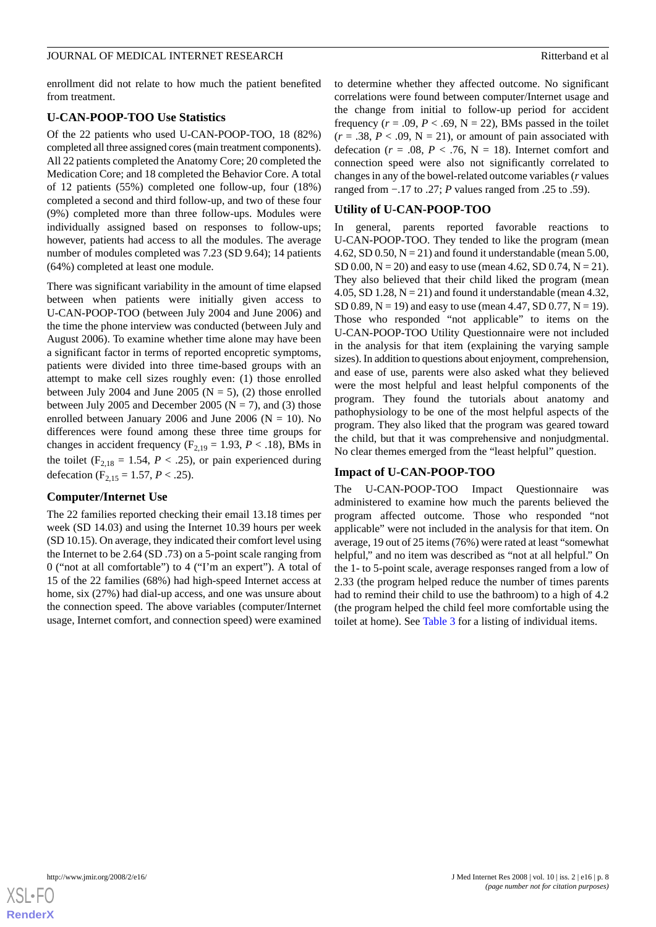enrollment did not relate to how much the patient benefited from treatment.

#### **U-CAN-POOP-TOO Use Statistics**

Of the 22 patients who used U-CAN-POOP-TOO, 18 (82%) completed all three assigned cores (main treatment components). All 22 patients completed the Anatomy Core; 20 completed the Medication Core; and 18 completed the Behavior Core. A total of 12 patients (55%) completed one follow-up, four (18%) completed a second and third follow-up, and two of these four (9%) completed more than three follow-ups. Modules were individually assigned based on responses to follow-ups; however, patients had access to all the modules. The average number of modules completed was 7.23 (SD 9.64); 14 patients (64%) completed at least one module.

There was significant variability in the amount of time elapsed between when patients were initially given access to U-CAN-POOP-TOO (between July 2004 and June 2006) and the time the phone interview was conducted (between July and August 2006). To examine whether time alone may have been a significant factor in terms of reported encopretic symptoms, patients were divided into three time-based groups with an attempt to make cell sizes roughly even: (1) those enrolled between July 2004 and June 2005 ( $N = 5$ ), (2) those enrolled between July 2005 and December 2005 ( $N = 7$ ), and (3) those enrolled between January 2006 and June 2006 ( $N = 10$ ). No differences were found among these three time groups for changes in accident frequency ( $F_{2,19} = 1.93$ ,  $P < .18$ ), BMs in the toilet ( $F_{2,18} = 1.54$ ,  $P < .25$ ), or pain experienced during defecation ( $F_{2,15} = 1.57$ ,  $P < .25$ ).

#### **Computer/Internet Use**

The 22 families reported checking their email 13.18 times per week (SD 14.03) and using the Internet 10.39 hours per week (SD 10.15). On average, they indicated their comfort level using the Internet to be 2.64 (SD .73) on a 5-point scale ranging from 0 ("not at all comfortable") to 4 ("I'm an expert"). A total of 15 of the 22 families (68%) had high-speed Internet access at home, six (27%) had dial-up access, and one was unsure about the connection speed. The above variables (computer/Internet usage, Internet comfort, and connection speed) were examined

to determine whether they affected outcome. No significant correlations were found between computer/Internet usage and the change from initial to follow-up period for accident frequency  $(r = .09, P < .69, N = 22)$ , BMs passed in the toilet  $(r = .38, P < .09, N = 21)$ , or amount of pain associated with defecation ( $r = .08$ ,  $P < .76$ ,  $N = 18$ ). Internet comfort and connection speed were also not significantly correlated to changes in any of the bowel-related outcome variables (*r* values ranged from −.17 to .27; *P* values ranged from .25 to .59).

#### **Utility of U-CAN-POOP-TOO**

In general, parents reported favorable reactions to U-CAN-POOP-TOO. They tended to like the program (mean 4.62, SD 0.50,  $N = 21$ ) and found it understandable (mean 5.00, SD 0.00,  $N = 20$ ) and easy to use (mean 4.62, SD 0.74,  $N = 21$ ). They also believed that their child liked the program (mean 4.05, SD 1.28,  $N = 21$ ) and found it understandable (mean 4.32, SD 0.89,  $N = 19$ ) and easy to use (mean 4.47, SD 0.77,  $N = 19$ ). Those who responded "not applicable" to items on the U-CAN-POOP-TOO Utility Questionnaire were not included in the analysis for that item (explaining the varying sample sizes). In addition to questions about enjoyment, comprehension, and ease of use, parents were also asked what they believed were the most helpful and least helpful components of the program. They found the tutorials about anatomy and pathophysiology to be one of the most helpful aspects of the program. They also liked that the program was geared toward the child, but that it was comprehensive and nonjudgmental. No clear themes emerged from the "least helpful" question.

#### **Impact of U-CAN-POOP-TOO**

The U-CAN-POOP-TOO Impact Questionnaire was administered to examine how much the parents believed the program affected outcome. Those who responded "not applicable" were not included in the analysis for that item. On average, 19 out of 25 items (76%) were rated at least "somewhat helpful," and no item was described as "not at all helpful." On the 1- to 5-point scale, average responses ranged from a low of 2.33 (the program helped reduce the number of times parents had to remind their child to use the bathroom) to a high of 4.2 (the program helped the child feel more comfortable using the toilet at home). See [Table 3](#page-8-0) for a listing of individual items.

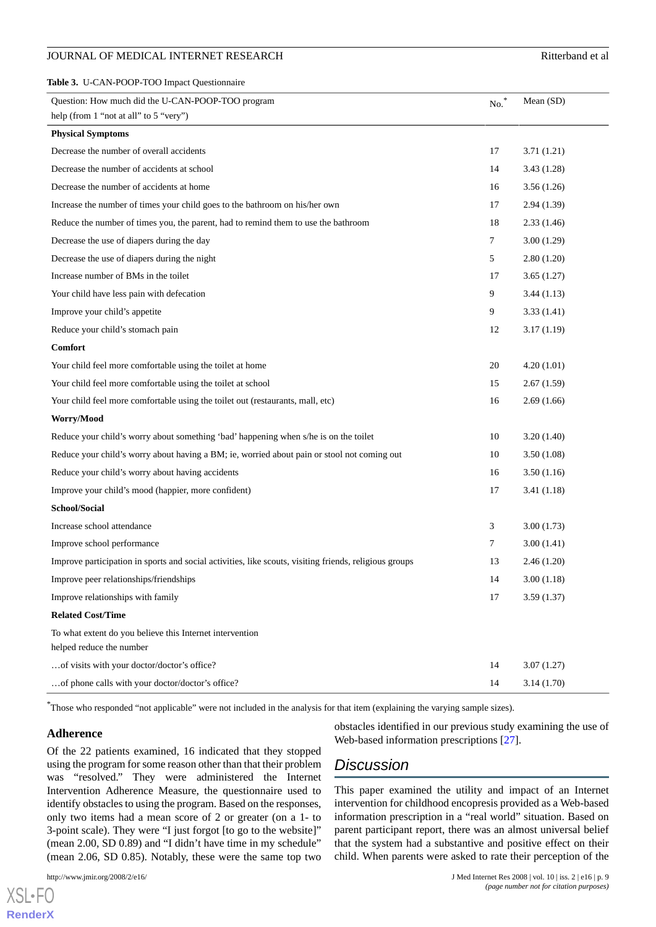#### JOURNAL OF MEDICAL INTERNET RESEARCH RESEARCH RITTERS ENTITLED AND RITTER RESEARCH

<span id="page-8-0"></span>

| Table 3. U-CAN-POOP-TOO Impact Questionnaire                                                           |                  |            |
|--------------------------------------------------------------------------------------------------------|------------------|------------|
| Question: How much did the U-CAN-POOP-TOO program<br>help (from 1 "not at all" to 5 "very")            | $\mathrm{No.}^*$ | Mean (SD)  |
| <b>Physical Symptoms</b>                                                                               |                  |            |
| Decrease the number of overall accidents                                                               | 17               | 3.71(1.21) |
| Decrease the number of accidents at school                                                             | 14               | 3.43(1.28) |
| Decrease the number of accidents at home                                                               | 16               | 3.56(1.26) |
| Increase the number of times your child goes to the bathroom on his/her own                            | 17               | 2.94(1.39) |
| Reduce the number of times you, the parent, had to remind them to use the bathroom                     | 18               | 2.33(1.46) |
| Decrease the use of diapers during the day                                                             | 7                | 3.00(1.29) |
| Decrease the use of diapers during the night                                                           | 5                | 2.80(1.20) |
| Increase number of BMs in the toilet                                                                   | 17               | 3.65(1.27) |
| Your child have less pain with defecation                                                              | 9                | 3.44(1.13) |
| Improve your child's appetite                                                                          | 9                | 3.33(1.41) |
| Reduce your child's stomach pain                                                                       | 12               | 3.17(1.19) |
| <b>Comfort</b>                                                                                         |                  |            |
| Your child feel more comfortable using the toilet at home                                              | 20               | 4.20(1.01) |
| Your child feel more comfortable using the toilet at school                                            | 15               | 2.67(1.59) |
| Your child feel more comfortable using the toilet out (restaurants, mall, etc)                         | 16               | 2.69(1.66) |
| Worry/Mood                                                                                             |                  |            |
| Reduce your child's worry about something 'bad' happening when s/he is on the toilet                   | 10               | 3.20(1.40) |
| Reduce your child's worry about having a BM; ie, worried about pain or stool not coming out            | 10               | 3.50(1.08) |
| Reduce your child's worry about having accidents                                                       | 16               | 3.50(1.16) |
| Improve your child's mood (happier, more confident)                                                    | 17               | 3.41(1.18) |
| School/Social                                                                                          |                  |            |
| Increase school attendance                                                                             | 3                | 3.00(1.73) |
| Improve school performance                                                                             | 7                | 3.00(1.41) |
| Improve participation in sports and social activities, like scouts, visiting friends, religious groups | 13               | 2.46(1.20) |
| Improve peer relationships/friendships                                                                 | 14               | 3.00(1.18) |
| Improve relationships with family                                                                      | 17               | 3.59(1.37) |
| <b>Related Cost/Time</b>                                                                               |                  |            |
| To what extent do you believe this Internet intervention<br>helped reduce the number                   |                  |            |
| of visits with your doctor/doctor's office?                                                            | 14               | 3.07(1.27) |
| of phone calls with your doctor/doctor's office?                                                       | 14               | 3.14(1.70) |

\*Those who responded "not applicable" were not included in the analysis for that item (explaining the varying sample sizes).

#### **Adherence**

Of the 22 patients examined, 16 indicated that they stopped using the program for some reason other than that their problem was "resolved." They were administered the Internet Intervention Adherence Measure, the questionnaire used to identify obstacles to using the program. Based on the responses, only two items had a mean score of 2 or greater (on a 1- to 3-point scale). They were "I just forgot [to go to the website]" (mean 2.00, SD 0.89) and "I didn't have time in my schedule" (mean 2.06, SD 0.85). Notably, these were the same top two

[XSL](http://www.w3.org/Style/XSL)•FO **[RenderX](http://www.renderx.com/)** obstacles identified in our previous study examining the use of Web-based information prescriptions [[27\]](#page-11-7).

# *Discussion*

This paper examined the utility and impact of an Internet intervention for childhood encopresis provided as a Web-based information prescription in a "real world" situation. Based on parent participant report, there was an almost universal belief that the system had a substantive and positive effect on their child. When parents were asked to rate their perception of the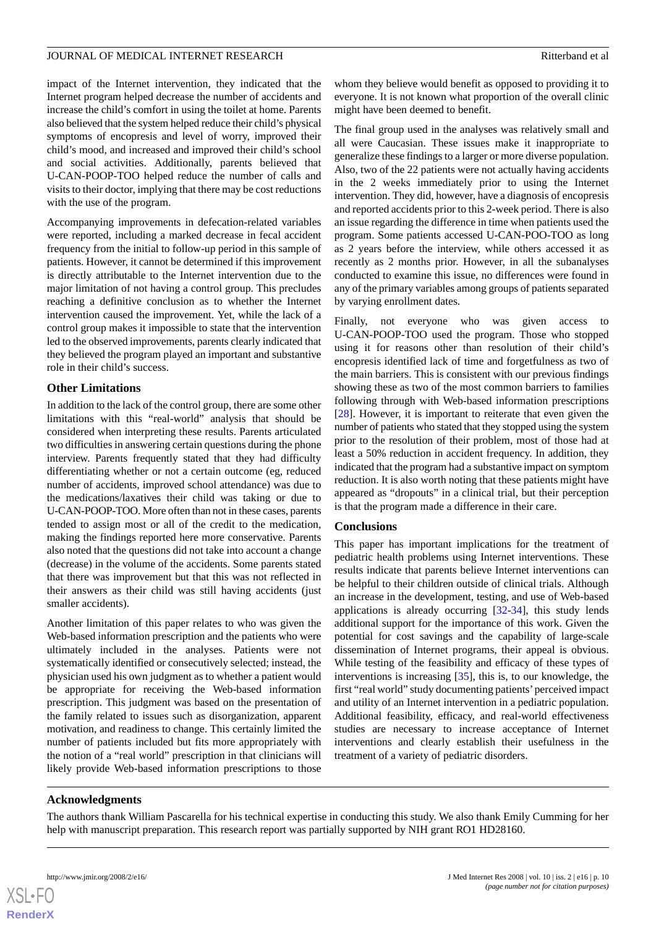impact of the Internet intervention, they indicated that the Internet program helped decrease the number of accidents and increase the child's comfort in using the toilet at home. Parents also believed that the system helped reduce their child's physical symptoms of encopresis and level of worry, improved their child's mood, and increased and improved their child's school and social activities. Additionally, parents believed that U-CAN-POOP-TOO helped reduce the number of calls and visits to their doctor, implying that there may be cost reductions with the use of the program.

Accompanying improvements in defecation-related variables were reported, including a marked decrease in fecal accident frequency from the initial to follow-up period in this sample of patients. However, it cannot be determined if this improvement is directly attributable to the Internet intervention due to the major limitation of not having a control group. This precludes reaching a definitive conclusion as to whether the Internet intervention caused the improvement. Yet, while the lack of a control group makes it impossible to state that the intervention led to the observed improvements, parents clearly indicated that they believed the program played an important and substantive role in their child's success.

# **Other Limitations**

In addition to the lack of the control group, there are some other limitations with this "real-world" analysis that should be considered when interpreting these results. Parents articulated two difficulties in answering certain questions during the phone interview. Parents frequently stated that they had difficulty differentiating whether or not a certain outcome (eg, reduced number of accidents, improved school attendance) was due to the medications/laxatives their child was taking or due to U-CAN-POOP-TOO. More often than not in these cases, parents tended to assign most or all of the credit to the medication, making the findings reported here more conservative. Parents also noted that the questions did not take into account a change (decrease) in the volume of the accidents. Some parents stated that there was improvement but that this was not reflected in their answers as their child was still having accidents (just smaller accidents).

Another limitation of this paper relates to who was given the Web-based information prescription and the patients who were ultimately included in the analyses. Patients were not systematically identified or consecutively selected; instead, the physician used his own judgment as to whether a patient would be appropriate for receiving the Web-based information prescription. This judgment was based on the presentation of the family related to issues such as disorganization, apparent motivation, and readiness to change. This certainly limited the number of patients included but fits more appropriately with the notion of a "real world" prescription in that clinicians will likely provide Web-based information prescriptions to those

whom they believe would benefit as opposed to providing it to everyone. It is not known what proportion of the overall clinic might have been deemed to benefit.

The final group used in the analyses was relatively small and all were Caucasian. These issues make it inappropriate to generalize these findings to a larger or more diverse population. Also, two of the 22 patients were not actually having accidents in the 2 weeks immediately prior to using the Internet intervention. They did, however, have a diagnosis of encopresis and reported accidents prior to this 2-week period. There is also an issue regarding the difference in time when patients used the program. Some patients accessed U-CAN-POO-TOO as long as 2 years before the interview, while others accessed it as recently as 2 months prior. However, in all the subanalyses conducted to examine this issue, no differences were found in any of the primary variables among groups of patients separated by varying enrollment dates.

Finally, not everyone who was given access to U-CAN-POOP-TOO used the program. Those who stopped using it for reasons other than resolution of their child's encopresis identified lack of time and forgetfulness as two of the main barriers. This is consistent with our previous findings showing these as two of the most common barriers to families following through with Web-based information prescriptions [[28\]](#page-11-8). However, it is important to reiterate that even given the number of patients who stated that they stopped using the system prior to the resolution of their problem, most of those had at least a 50% reduction in accident frequency. In addition, they indicated that the program had a substantive impact on symptom reduction. It is also worth noting that these patients might have appeared as "dropouts" in a clinical trial, but their perception is that the program made a difference in their care.

# **Conclusions**

This paper has important implications for the treatment of pediatric health problems using Internet interventions. These results indicate that parents believe Internet interventions can be helpful to their children outside of clinical trials. Although an increase in the development, testing, and use of Web-based applications is already occurring  $[32-34]$  $[32-34]$  $[32-34]$ , this study lends additional support for the importance of this work. Given the potential for cost savings and the capability of large-scale dissemination of Internet programs, their appeal is obvious. While testing of the feasibility and efficacy of these types of interventions is increasing [[35\]](#page-11-14), this is, to our knowledge, the first "real world" study documenting patients'perceived impact and utility of an Internet intervention in a pediatric population. Additional feasibility, efficacy, and real-world effectiveness studies are necessary to increase acceptance of Internet interventions and clearly establish their usefulness in the treatment of a variety of pediatric disorders.

# **Acknowledgments**

The authors thank William Pascarella for his technical expertise in conducting this study. We also thank Emily Cumming for her help with manuscript preparation. This research report was partially supported by NIH grant RO1 HD28160.

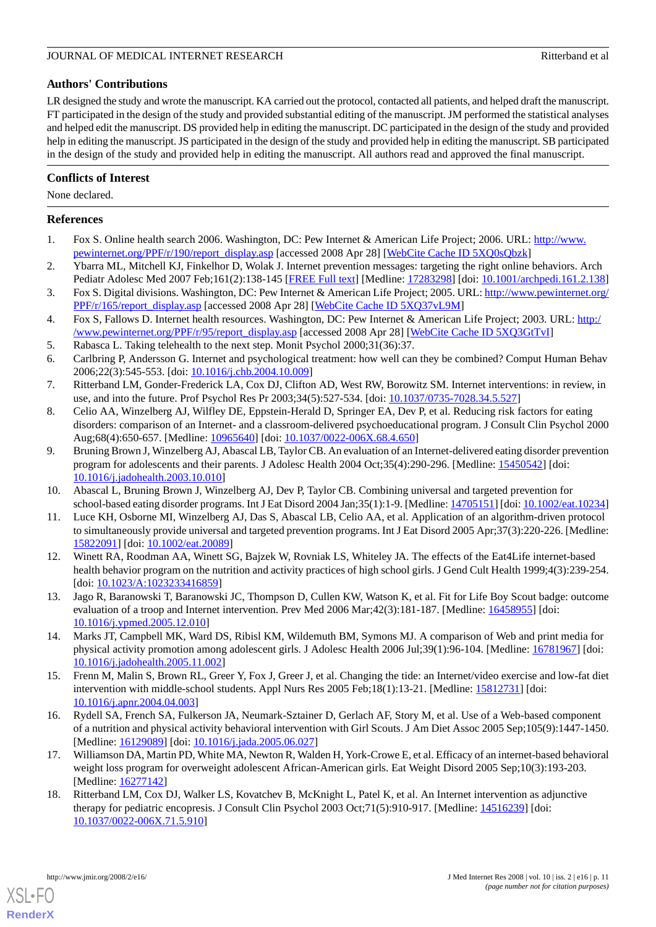#### JOURNAL OF MEDICAL INTERNET RESEARCH RITTER AND RESEARCH RITTER RESEARCH RITTER AND RITTER RESEARCH

# **Authors' Contributions**

LR designed the study and wrote the manuscript. KA carried out the protocol, contacted all patients, and helped draft the manuscript. FT participated in the design of the study and provided substantial editing of the manuscript. JM performed the statistical analyses and helped edit the manuscript. DS provided help in editing the manuscript. DC participated in the design of the study and provided help in editing the manuscript. JS participated in the design of the study and provided help in editing the manuscript. SB participated in the design of the study and provided help in editing the manuscript. All authors read and approved the final manuscript.

# **Conflicts of Interest**

None declared.

# <span id="page-10-0"></span>**References**

- <span id="page-10-1"></span>1. Fox S. Online health search 2006. Washington, DC: Pew Internet & American Life Project; 2006. URL: [http://www.](http://www.pewinternet.org/PPF/r/190/report_display.asp) [pewinternet.org/PPF/r/190/report\\_display.asp](http://www.pewinternet.org/PPF/r/190/report_display.asp) [accessed 2008 Apr 28] [\[WebCite Cache ID 5XQ0sQbzk](http://www.webcitation.org/

                                    5XQ0sQbzk)]
- <span id="page-10-2"></span>2. Ybarra ML, Mitchell KJ, Finkelhor D, Wolak J. Internet prevention messages: targeting the right online behaviors. Arch Pediatr Adolesc Med 2007 Feb;161(2):138-145 [\[FREE Full text](http://archpedi.ama-assn.org/cgi/pmidlookup?view=long&pmid=17283298)] [Medline: [17283298](http://www.ncbi.nlm.nih.gov/entrez/query.fcgi?cmd=Retrieve&db=PubMed&list_uids=17283298&dopt=Abstract)] [doi: [10.1001/archpedi.161.2.138](http://dx.doi.org/10.1001/archpedi.161.2.138)]
- <span id="page-10-3"></span>3. Fox S. Digital divisions. Washington, DC: Pew Internet & American Life Project; 2005. URL: [http://www.pewinternet.org/](http://www.pewinternet.org/PPF/r/165/report_display.asp) [PPF/r/165/report\\_display.asp](http://www.pewinternet.org/PPF/r/165/report_display.asp) [accessed 2008 Apr 28] [[WebCite Cache ID 5XQ37vL9M](http://www.webcitation.org/

                                    5XQ37vL9M)]
- <span id="page-10-5"></span><span id="page-10-4"></span>4. Fox S, Fallows D. Internet health resources. Washington, DC: Pew Internet & American Life Project; 2003. URL: [http:/](http://www.pewinternet.org/PPF/r/95/report_display.asp) [/www.pewinternet.org/PPF/r/95/report\\_display.asp](http://www.pewinternet.org/PPF/r/95/report_display.asp) [accessed 2008 Apr 28] [\[WebCite Cache ID 5XQ3GtTvI](http://www.webcitation.org/

                                    5XQ3GtTvI)]
- <span id="page-10-6"></span>5. Rabasca L. Taking telehealth to the next step. Monit Psychol 2000;31(36):37.
- <span id="page-10-7"></span>6. Carlbring P, Andersson G. Internet and psychological treatment: how well can they be combined? Comput Human Behav 2006;22(3):545-553. [doi: [10.1016/j.chb.2004.10.009\]](http://dx.doi.org/10.1016/j.chb.2004.10.009)
- 7. Ritterband LM, Gonder-Frederick LA, Cox DJ, Clifton AD, West RW, Borowitz SM. Internet interventions: in review, in use, and into the future. Prof Psychol Res Pr 2003;34(5):527-534. [doi: [10.1037/0735-7028.34.5.527](http://dx.doi.org/10.1037/0735-7028.34.5.527)]
- 8. Celio AA, Winzelberg AJ, Wilfley DE, Eppstein-Herald D, Springer EA, Dev P, et al. Reducing risk factors for eating disorders: comparison of an Internet- and a classroom-delivered psychoeducational program. J Consult Clin Psychol 2000 Aug;68(4):650-657. [Medline: [10965640](http://www.ncbi.nlm.nih.gov/entrez/query.fcgi?cmd=Retrieve&db=PubMed&list_uids=10965640&dopt=Abstract)] [doi: [10.1037/0022-006X.68.4.650\]](http://dx.doi.org/10.1037/0022-006X.68.4.650)
- <span id="page-10-8"></span>9. Bruning Brown J, Winzelberg AJ, Abascal LB, Taylor CB. An evaluation of an Internet-delivered eating disorder prevention program for adolescents and their parents. J Adolesc Health 2004 Oct;35(4):290-296. [Medline: [15450542\]](http://www.ncbi.nlm.nih.gov/entrez/query.fcgi?cmd=Retrieve&db=PubMed&list_uids=15450542&dopt=Abstract) [doi: [10.1016/j.jadohealth.2003.10.010](http://dx.doi.org/10.1016/j.jadohealth.2003.10.010)]
- <span id="page-10-9"></span>10. Abascal L, Bruning Brown J, Winzelberg AJ, Dev P, Taylor CB. Combining universal and targeted prevention for school-based eating disorder programs. Int J Eat Disord 2004 Jan;35(1):1-9. [Medline: [14705151\]](http://www.ncbi.nlm.nih.gov/entrez/query.fcgi?cmd=Retrieve&db=PubMed&list_uids=14705151&dopt=Abstract) [doi: [10.1002/eat.10234](http://dx.doi.org/10.1002/eat.10234)]
- 11. Luce KH, Osborne MI, Winzelberg AJ, Das S, Abascal LB, Celio AA, et al. Application of an algorithm-driven protocol to simultaneously provide universal and targeted prevention programs. Int J Eat Disord 2005 Apr;37(3):220-226. [Medline: [15822091](http://www.ncbi.nlm.nih.gov/entrez/query.fcgi?cmd=Retrieve&db=PubMed&list_uids=15822091&dopt=Abstract)] [doi: [10.1002/eat.20089](http://dx.doi.org/10.1002/eat.20089)]
- 12. Winett RA, Roodman AA, Winett SG, Bajzek W, Rovniak LS, Whiteley JA. The effects of the Eat4Life internet-based health behavior program on the nutrition and activity practices of high school girls. J Gend Cult Health 1999;4(3):239-254. [doi: [10.1023/A:1023233416859](http://dx.doi.org/10.1023/A:1023233416859)]
- 13. Jago R, Baranowski T, Baranowski JC, Thompson D, Cullen KW, Watson K, et al. Fit for Life Boy Scout badge: outcome evaluation of a troop and Internet intervention. Prev Med 2006 Mar;42(3):181-187. [Medline: [16458955](http://www.ncbi.nlm.nih.gov/entrez/query.fcgi?cmd=Retrieve&db=PubMed&list_uids=16458955&dopt=Abstract)] [doi: [10.1016/j.ypmed.2005.12.010\]](http://dx.doi.org/10.1016/j.ypmed.2005.12.010)
- 14. Marks JT, Campbell MK, Ward DS, Ribisl KM, Wildemuth BM, Symons MJ. A comparison of Web and print media for physical activity promotion among adolescent girls. J Adolesc Health 2006 Jul;39(1):96-104. [Medline: [16781967](http://www.ncbi.nlm.nih.gov/entrez/query.fcgi?cmd=Retrieve&db=PubMed&list_uids=16781967&dopt=Abstract)] [doi: [10.1016/j.jadohealth.2005.11.002](http://dx.doi.org/10.1016/j.jadohealth.2005.11.002)]
- <span id="page-10-10"></span>15. Frenn M, Malin S, Brown RL, Greer Y, Fox J, Greer J, et al. Changing the tide: an Internet/video exercise and low-fat diet intervention with middle-school students. Appl Nurs Res 2005 Feb;18(1):13-21. [Medline: [15812731\]](http://www.ncbi.nlm.nih.gov/entrez/query.fcgi?cmd=Retrieve&db=PubMed&list_uids=15812731&dopt=Abstract) [doi: [10.1016/j.apnr.2004.04.003\]](http://dx.doi.org/10.1016/j.apnr.2004.04.003)
- <span id="page-10-11"></span>16. Rydell SA, French SA, Fulkerson JA, Neumark-Sztainer D, Gerlach AF, Story M, et al. Use of a Web-based component of a nutrition and physical activity behavioral intervention with Girl Scouts. J Am Diet Assoc 2005 Sep;105(9):1447-1450. [Medline: [16129089](http://www.ncbi.nlm.nih.gov/entrez/query.fcgi?cmd=Retrieve&db=PubMed&list_uids=16129089&dopt=Abstract)] [doi: [10.1016/j.jada.2005.06.027](http://dx.doi.org/10.1016/j.jada.2005.06.027)]
- 17. Williamson DA, Martin PD, White MA, Newton R, Walden H, York-Crowe E, et al. Efficacy of an internet-based behavioral weight loss program for overweight adolescent African-American girls. Eat Weight Disord 2005 Sep;10(3):193-203. [Medline: [16277142](http://www.ncbi.nlm.nih.gov/entrez/query.fcgi?cmd=Retrieve&db=PubMed&list_uids=16277142&dopt=Abstract)]
- 18. Ritterband LM, Cox DJ, Walker LS, Kovatchev B, McKnight L, Patel K, et al. An Internet intervention as adjunctive therapy for pediatric encopresis. J Consult Clin Psychol 2003 Oct;71(5):910-917. [Medline: [14516239](http://www.ncbi.nlm.nih.gov/entrez/query.fcgi?cmd=Retrieve&db=PubMed&list_uids=14516239&dopt=Abstract)] [doi: [10.1037/0022-006X.71.5.910\]](http://dx.doi.org/10.1037/0022-006X.71.5.910)

[XSL](http://www.w3.org/Style/XSL)•FO **[RenderX](http://www.renderx.com/)**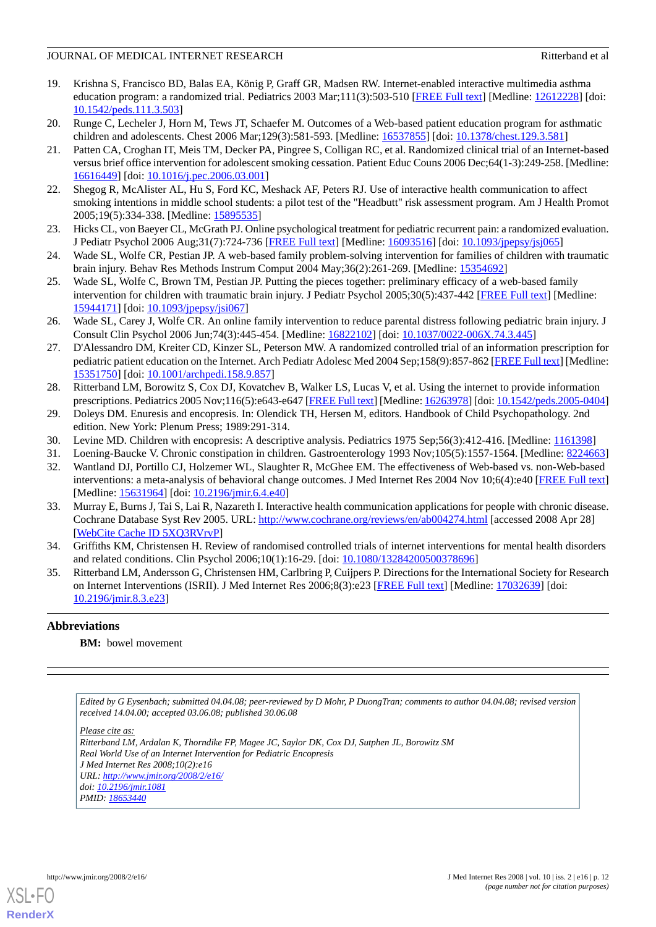### JOURNAL OF MEDICAL INTERNET RESEARCH RITTERS AND RESEARCH RITTERS AND RITTER RESEARCH

- <span id="page-11-0"></span>19. Krishna S, Francisco BD, Balas EA, König P, Graff GR, Madsen RW. Internet-enabled interactive multimedia asthma education program: a randomized trial. Pediatrics 2003 Mar;111(3):503-510 [\[FREE Full text\]](http://pediatrics.aappublications.org/cgi/pmidlookup?view=long&pmid=12612228) [Medline: [12612228\]](http://www.ncbi.nlm.nih.gov/entrez/query.fcgi?cmd=Retrieve&db=PubMed&list_uids=12612228&dopt=Abstract) [doi: [10.1542/peds.111.3.503\]](http://dx.doi.org/10.1542/peds.111.3.503)
- <span id="page-11-2"></span><span id="page-11-1"></span>20. Runge C, Lecheler J, Horn M, Tews JT, Schaefer M. Outcomes of a Web-based patient education program for asthmatic children and adolescents. Chest 2006 Mar;129(3):581-593. [Medline: [16537855\]](http://www.ncbi.nlm.nih.gov/entrez/query.fcgi?cmd=Retrieve&db=PubMed&list_uids=16537855&dopt=Abstract) [doi: [10.1378/chest.129.3.581](http://dx.doi.org/10.1378/chest.129.3.581)]
- 21. Patten CA, Croghan IT, Meis TM, Decker PA, Pingree S, Colligan RC, et al. Randomized clinical trial of an Internet-based versus brief office intervention for adolescent smoking cessation. Patient Educ Couns 2006 Dec;64(1-3):249-258. [Medline: [16616449](http://www.ncbi.nlm.nih.gov/entrez/query.fcgi?cmd=Retrieve&db=PubMed&list_uids=16616449&dopt=Abstract)] [doi: [10.1016/j.pec.2006.03.001\]](http://dx.doi.org/10.1016/j.pec.2006.03.001)
- <span id="page-11-4"></span><span id="page-11-3"></span>22. Shegog R, McAlister AL, Hu S, Ford KC, Meshack AF, Peters RJ. Use of interactive health communication to affect smoking intentions in middle school students: a pilot test of the "Headbutt" risk assessment program. Am J Health Promot 2005;19(5):334-338. [Medline: [15895535](http://www.ncbi.nlm.nih.gov/entrez/query.fcgi?cmd=Retrieve&db=PubMed&list_uids=15895535&dopt=Abstract)]
- <span id="page-11-5"></span>23. Hicks CL, von Baeyer CL, McGrath PJ. Online psychological treatment for pediatric recurrent pain: a randomized evaluation. J Pediatr Psychol 2006 Aug;31(7):724-736 [\[FREE Full text](http://jpepsy.oxfordjournals.org/cgi/pmidlookup?view=long&pmid=16093516)] [Medline: [16093516](http://www.ncbi.nlm.nih.gov/entrez/query.fcgi?cmd=Retrieve&db=PubMed&list_uids=16093516&dopt=Abstract)] [doi: [10.1093/jpepsy/jsj065](http://dx.doi.org/10.1093/jpepsy/jsj065)]
- 24. Wade SL, Wolfe CR, Pestian JP. A web-based family problem-solving intervention for families of children with traumatic brain injury. Behav Res Methods Instrum Comput 2004 May;36(2):261-269. [Medline: [15354692](http://www.ncbi.nlm.nih.gov/entrez/query.fcgi?cmd=Retrieve&db=PubMed&list_uids=15354692&dopt=Abstract)]
- <span id="page-11-6"></span>25. Wade SL, Wolfe C, Brown TM, Pestian JP. Putting the pieces together: preliminary efficacy of a web-based family intervention for children with traumatic brain injury. J Pediatr Psychol 2005;30(5):437-442 [\[FREE Full text\]](http://jpepsy.oxfordjournals.org/cgi/pmidlookup?view=long&pmid=15944171) [Medline: [15944171](http://www.ncbi.nlm.nih.gov/entrez/query.fcgi?cmd=Retrieve&db=PubMed&list_uids=15944171&dopt=Abstract)] [doi: [10.1093/jpepsy/jsi067](http://dx.doi.org/10.1093/jpepsy/jsi067)]
- <span id="page-11-7"></span>26. Wade SL, Carey J, Wolfe CR. An online family intervention to reduce parental distress following pediatric brain injury. J Consult Clin Psychol 2006 Jun;74(3):445-454. [Medline: [16822102\]](http://www.ncbi.nlm.nih.gov/entrez/query.fcgi?cmd=Retrieve&db=PubMed&list_uids=16822102&dopt=Abstract) [doi: [10.1037/0022-006X.74.3.445\]](http://dx.doi.org/10.1037/0022-006X.74.3.445)
- <span id="page-11-8"></span>27. D'Alessandro DM, Kreiter CD, Kinzer SL, Peterson MW. A randomized controlled trial of an information prescription for pediatric patient education on the Internet. Arch Pediatr Adolesc Med 2004 Sep;158(9):857-862 [\[FREE Full text](http://archpedi.ama-assn.org/cgi/pmidlookup?view=long&pmid=15351750)] [Medline: [15351750](http://www.ncbi.nlm.nih.gov/entrez/query.fcgi?cmd=Retrieve&db=PubMed&list_uids=15351750&dopt=Abstract)] [doi: [10.1001/archpedi.158.9.857\]](http://dx.doi.org/10.1001/archpedi.158.9.857)
- <span id="page-11-10"></span><span id="page-11-9"></span>28. Ritterband LM, Borowitz S, Cox DJ, Kovatchev B, Walker LS, Lucas V, et al. Using the internet to provide information prescriptions. Pediatrics 2005 Nov;116(5):e643-e647 [\[FREE Full text](http://pediatrics.aappublications.org/cgi/pmidlookup?view=long&pmid=16263978)] [Medline: [16263978](http://www.ncbi.nlm.nih.gov/entrez/query.fcgi?cmd=Retrieve&db=PubMed&list_uids=16263978&dopt=Abstract)] [doi: [10.1542/peds.2005-0404\]](http://dx.doi.org/10.1542/peds.2005-0404)
- <span id="page-11-12"></span><span id="page-11-11"></span>29. Doleys DM. Enuresis and encopresis. In: Olendick TH, Hersen M, editors. Handbook of Child Psychopathology. 2nd edition. New York: Plenum Press; 1989:291-314.
- 30. Levine MD. Children with encopresis: A descriptive analysis. Pediatrics 1975 Sep;56(3):412-416. [Medline: [1161398\]](http://www.ncbi.nlm.nih.gov/entrez/query.fcgi?cmd=Retrieve&db=PubMed&list_uids=1161398&dopt=Abstract)
- 31. Loening-Baucke V. Chronic constipation in children. Gastroenterology 1993 Nov;105(5):1557-1564. [Medline: [8224663](http://www.ncbi.nlm.nih.gov/entrez/query.fcgi?cmd=Retrieve&db=PubMed&list_uids=8224663&dopt=Abstract)]
- 32. Wantland DJ, Portillo CJ, Holzemer WL, Slaughter R, McGhee EM. The effectiveness of Web-based vs. non-Web-based interventions: a meta-analysis of behavioral change outcomes. J Med Internet Res 2004 Nov 10;6(4):e40 [\[FREE Full text](http://www.jmir.org/2004/4/e40/)] [Medline: [15631964](http://www.ncbi.nlm.nih.gov/entrez/query.fcgi?cmd=Retrieve&db=PubMed&list_uids=15631964&dopt=Abstract)] [doi: [10.2196/jmir.6.4.e40](http://dx.doi.org/10.2196/jmir.6.4.e40)]
- <span id="page-11-14"></span><span id="page-11-13"></span>33. Murray E, Burns J, Tai S, Lai R, Nazareth I. Interactive health communication applications for people with chronic disease. Cochrane Database Syst Rev 2005. URL: <http://www.cochrane.org/reviews/en/ab004274.html> [accessed 2008 Apr 28] [[WebCite Cache ID 5XQ3RVrvP](http://www.webcitation.org/

                                    5XQ3RVrvP)]
- 34. Griffiths KM, Christensen H. Review of randomised controlled trials of internet interventions for mental health disorders and related conditions. Clin Psychol 2006;10(1):16-29. [doi: [10.1080/13284200500378696\]](http://dx.doi.org/10.1080/13284200500378696)
- 35. Ritterband LM, Andersson G, Christensen HM, Carlbring P, Cuijpers P. Directions for the International Society for Research on Internet Interventions (ISRII). J Med Internet Res 2006;8(3):e23 [\[FREE Full text\]](http://www.jmir.org/2006/3/e23/) [Medline: [17032639\]](http://www.ncbi.nlm.nih.gov/entrez/query.fcgi?cmd=Retrieve&db=PubMed&list_uids=17032639&dopt=Abstract) [doi: [10.2196/jmir.8.3.e23\]](http://dx.doi.org/10.2196/jmir.8.3.e23)

# **Abbreviations**

**BM:** bowel movement

*Edited by G Eysenbach; submitted 04.04.08; peer-reviewed by D Mohr, P DuongTran; comments to author 04.04.08; revised version received 14.04.00; accepted 03.06.08; published 30.06.08*

*Please cite as:*

*Ritterband LM, Ardalan K, Thorndike FP, Magee JC, Saylor DK, Cox DJ, Sutphen JL, Borowitz SM Real World Use of an Internet Intervention for Pediatric Encopresis J Med Internet Res 2008;10(2):e16 URL: <http://www.jmir.org/2008/2/e16/> doi: [10.2196/jmir.1081](http://dx.doi.org/10.2196/jmir.1081) PMID: [18653440](http://www.ncbi.nlm.nih.gov/entrez/query.fcgi?cmd=Retrieve&db=PubMed&list_uids=18653440&dopt=Abstract)*



**[RenderX](http://www.renderx.com/)**